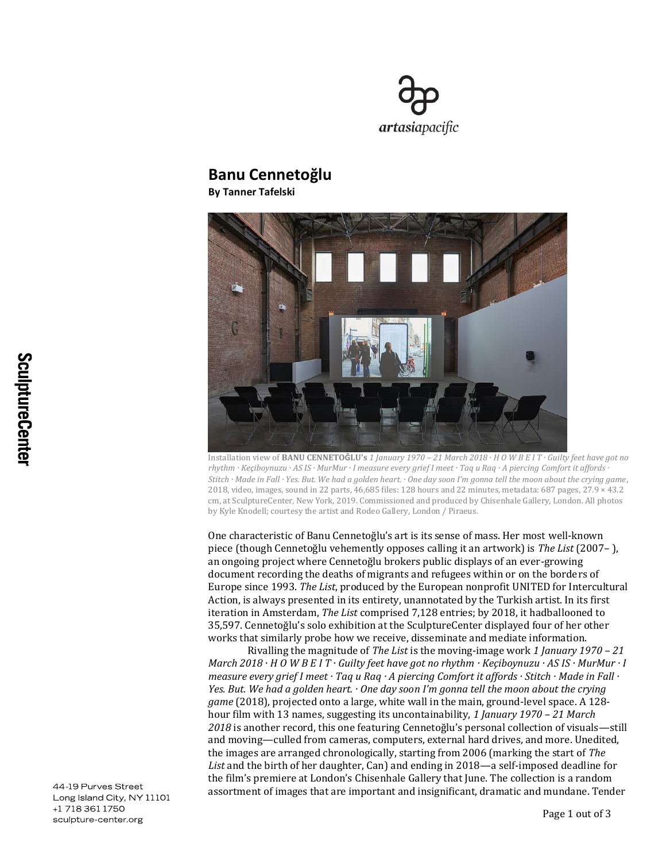

## **Banu Cennetoğlu**

**By Tanner Tafelski**



Installation view of **BANU CENNETOǦLU's** *1 January 1970 – 21 March 2018 · H O W B E I T · Guilty feet have got no rhythm · Keçiboynuzu · AS IS · MurMur · I measure every grief I meet · Taq u Raq · A piercing Comfort it affords · Stitch · Made in Fall · Yes. But. We had a golden heart. · One day soon I'm gonna tell the moon about the crying game*, 2018, video, images, sound in 22 parts, 46,685 files: 128 hours and 22 minutes, metadata: 687 pages, 27.9 × 43.2 cm, at SculptureCenter, New York, 2019. Commissioned and produced by Chisenhale Gallery, London. All photos by Kyle Knodell; courtesy the artist and Rodeo Gallery, London / Piraeus.

One characteristic of Banu Cennetoğlu's art is its sense of mass. Her most well-known piece (though Cennetoğlu vehemently opposes calling it an artwork) is *The List* (2007– ), an ongoing project where Cennetoğlu brokers public displays of an ever-growing document recording the deaths of migrants and refugees within or on the borders of Europe since 1993. *The List*, produced by the European nonprofit UNITED for Intercultural Action, is always presented in its entirety, unannotated by the Turkish artist. In its first iteration in Amsterdam, *The List* comprised 7,128 entries; by 2018, it hadballooned to 35,597. Cennetoğlu's solo exhibition at the SculptureCenter displayed four of her other works that similarly probe how we receive, disseminate and mediate information.

Rivalling the magnitude of *The List* is the moving-image work *1 January 1970 – 21 March 2018 · H O W B E I T · Guilty feet have got no rhythm · Keçiboynuzu · AS IS · MurMur · I measure every grief I meet · Taq u Raq · A piercing Comfort it affords · Stitch · Made in Fall · Yes. But. We had a golden heart. · One day soon I'm gonna tell the moon about the crying game* (2018), projected onto a large, white wall in the main, ground-level space. A 128 hour film with 13 names, suggesting its uncontainability, *1 January 1970 – 21 March 2018* is another record, this one featuring Cennetoğlu's personal collection of visuals—still and moving—culled from cameras, computers, external hard drives, and more. Unedited, the images are arranged chronologically, starting from 2006 (marking the start of *The List* and the birth of her daughter, Can) and ending in 2018—a self-imposed deadline for the film's premiere at London's Chisenhale Gallery that June. The collection is a random assortment of images that are important and insignificant, dramatic and mundane. Tender

44-19 Purves Street Long Island City, NY 11101 +1 718 361 1750 sculpture-center.org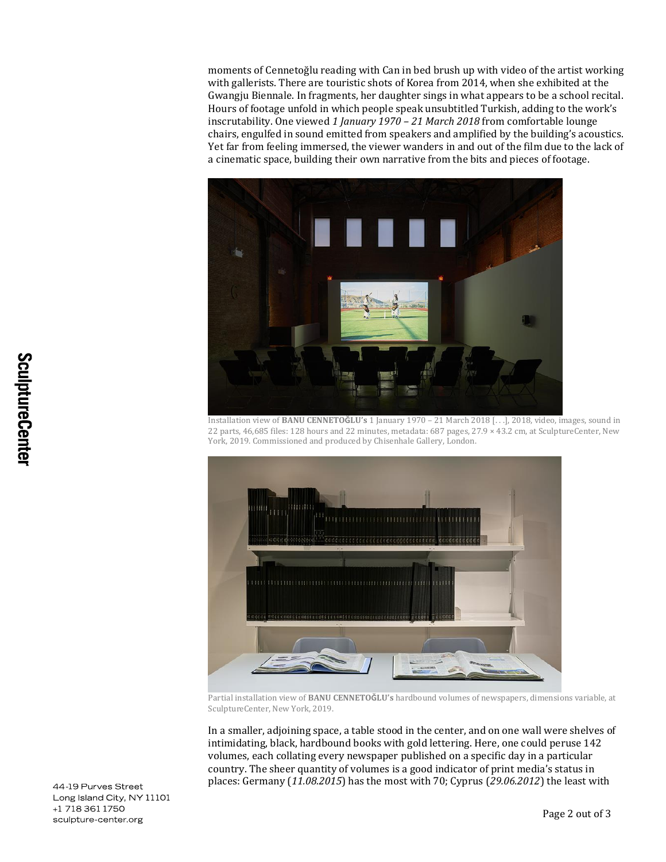moments of Cennetoğlu reading with Can in bed brush up with video of the artist working with gallerists. There are touristic shots of Korea from 2014, when she exhibited at the Gwangju Biennale. In fragments, her daughter sings in what appears to be a school recital. Hours of footage unfold in which people speak unsubtitled Turkish, adding to the work's inscrutability. One viewed *1 January 1970 – 21 March 2018* from comfortable lounge chairs, engulfed in sound emitted from speakers and amplified by the building's acoustics. Yet far from feeling immersed, the viewer wanders in and out of the film due to the lack of a cinematic space, building their own narrative from the bits and pieces of footage.



Installation view of **BANU CENNETOǦLU's** 1 January 1970 – 21 March 2018 [. . .], 2018, video, images, sound in 22 parts, 46,685 files: 128 hours and 22 minutes, metadata: 687 pages, 27.9 × 43.2 cm, at SculptureCenter, New York, 2019. Commissioned and produced by Chisenhale Gallery, London.



Partial installation view of **BANU CENNETOǦLU's** hardbound volumes of newspapers, dimensions variable, at SculptureCenter, New York, 2019.

In a smaller, adjoining space, a table stood in the center, and on one wall were shelves of intimidating, black, hardbound books with gold lettering. Here, one could peruse 142 volumes, each collating every newspaper published on a specific day in a particular country. The sheer quantity of volumes is a good indicator of print media's status in places: Germany (*11.08.2015*) has the most with 70; Cyprus (*29.06.2012*) the least with

44-19 Purves Street Long Island City, NY 11101 +1 718 361 1750 sculpture-center.org

Page 2 out of 3